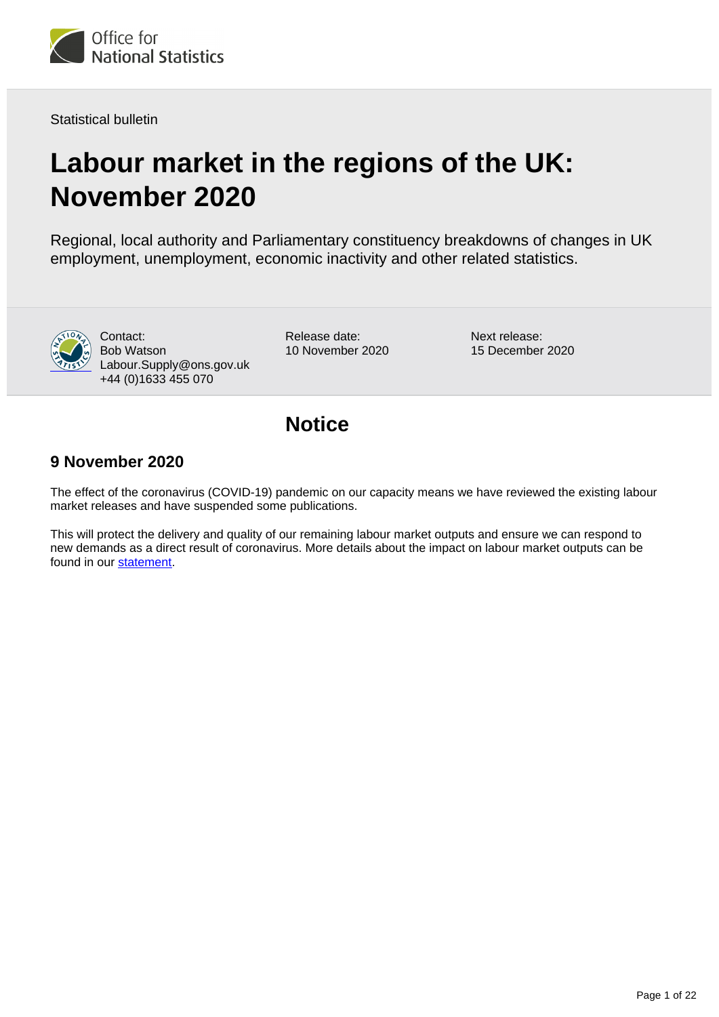

Statistical bulletin

# **Labour market in the regions of the UK: November 2020**

Regional, local authority and Parliamentary constituency breakdowns of changes in UK employment, unemployment, economic inactivity and other related statistics.



Contact: Bob Watson Labour.Supply@ons.gov.uk +44 (0)1633 455 070

Release date: 10 November 2020 Next release: 15 December 2020

# **Notice**

### **9 November 2020**

The effect of the coronavirus (COVID-19) pandemic on our capacity means we have reviewed the existing labour market releases and have suspended some publications.

This will protect the delivery and quality of our remaining labour market outputs and ensure we can respond to new demands as a direct result of coronavirus. More details about the impact on labour market outputs can be found in our [statement](https://www.ons.gov.uk/employmentandlabourmarket/peopleinwork/employmentandemployeetypes/methodologies/updatetocoronavirusimpactonlabourmarketoutputs).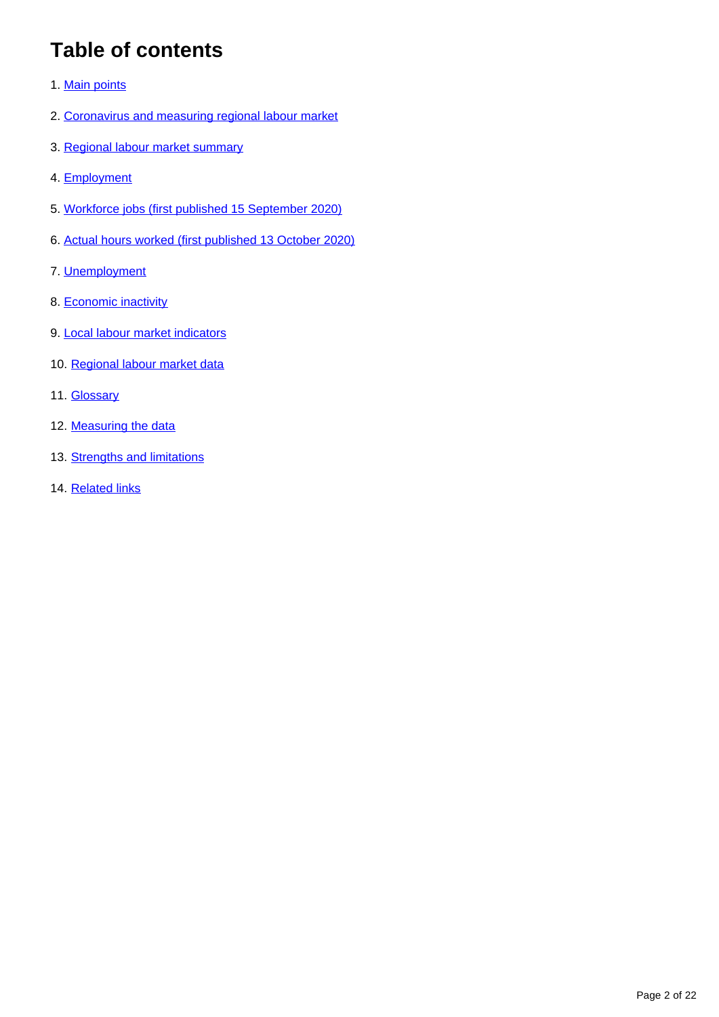# **Table of contents**

- 1. [Main points](#page-2-0)
- 2. [Coronavirus and measuring regional labour market](#page-2-1)
- 3. [Regional labour market summary](#page-3-0)
- 4. [Employment](#page-5-0)
- 5. [Workforce jobs \(first published 15 September 2020\)](#page-6-0)
- 6. [Actual hours worked \(first published 13 October 2020\)](#page-9-0)
- 7. [Unemployment](#page-11-0)
- 8. [Economic inactivity](#page-13-0)
- 9. [Local labour market indicators](#page-14-0)
- 10. [Regional labour market data](#page-15-0)
- 11. **[Glossary](#page-15-1)**
- 12. [Measuring the data](#page-16-0)
- 13. [Strengths and limitations](#page-18-0)
- 14. [Related links](#page-21-0)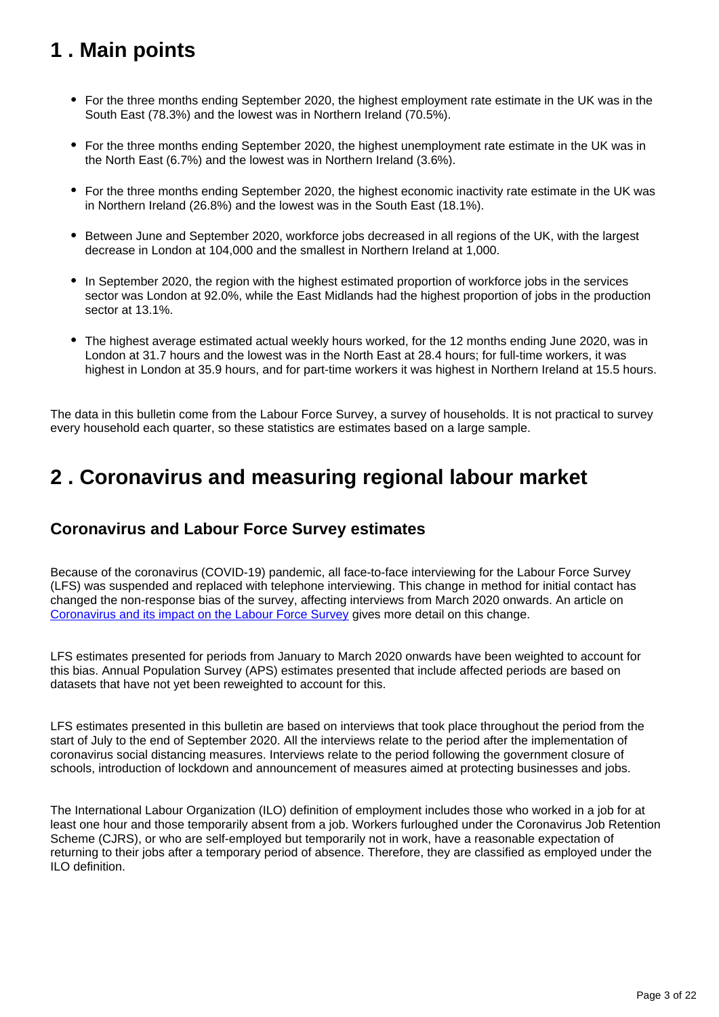# <span id="page-2-0"></span>**1 . Main points**

- For the three months ending September 2020, the highest employment rate estimate in the UK was in the South East (78.3%) and the lowest was in Northern Ireland (70.5%).
- For the three months ending September 2020, the highest unemployment rate estimate in the UK was in the North East (6.7%) and the lowest was in Northern Ireland (3.6%).
- For the three months ending September 2020, the highest economic inactivity rate estimate in the UK was in Northern Ireland (26.8%) and the lowest was in the South East (18.1%).
- Between June and September 2020, workforce jobs decreased in all regions of the UK, with the largest decrease in London at 104,000 and the smallest in Northern Ireland at 1,000.
- In September 2020, the region with the highest estimated proportion of workforce jobs in the services sector was London at 92.0%, while the East Midlands had the highest proportion of jobs in the production sector at 13.1%.
- The highest average estimated actual weekly hours worked, for the 12 months ending June 2020, was in London at 31.7 hours and the lowest was in the North East at 28.4 hours; for full-time workers, it was highest in London at 35.9 hours, and for part-time workers it was highest in Northern Ireland at 15.5 hours.

The data in this bulletin come from the Labour Force Survey, a survey of households. It is not practical to survey every household each quarter, so these statistics are estimates based on a large sample.

# <span id="page-2-1"></span>**2 . Coronavirus and measuring regional labour market**

## **Coronavirus and Labour Force Survey estimates**

Because of the coronavirus (COVID-19) pandemic, all face-to-face interviewing for the Labour Force Survey (LFS) was suspended and replaced with telephone interviewing. This change in method for initial contact has changed the non-response bias of the survey, affecting interviews from March 2020 onwards. An article on [Coronavirus and its impact on the Labour Force Survey](https://www.ons.gov.uk/employmentandlabourmarket/peopleinwork/employmentandemployeetypes/articles/coronavirusanditsimpactonthelabourforcesurvey/2020-10-13) gives more detail on this change.

LFS estimates presented for periods from January to March 2020 onwards have been weighted to account for this bias. Annual Population Survey (APS) estimates presented that include affected periods are based on datasets that have not yet been reweighted to account for this.

LFS estimates presented in this bulletin are based on interviews that took place throughout the period from the start of July to the end of September 2020. All the interviews relate to the period after the implementation of coronavirus social distancing measures. Interviews relate to the period following the government closure of schools, introduction of lockdown and announcement of measures aimed at protecting businesses and jobs.

The International Labour Organization (ILO) definition of employment includes those who worked in a job for at least one hour and those temporarily absent from a job. Workers furloughed under the Coronavirus Job Retention Scheme (CJRS), or who are self-employed but temporarily not in work, have a reasonable expectation of returning to their jobs after a temporary period of absence. Therefore, they are classified as employed under the ILO definition.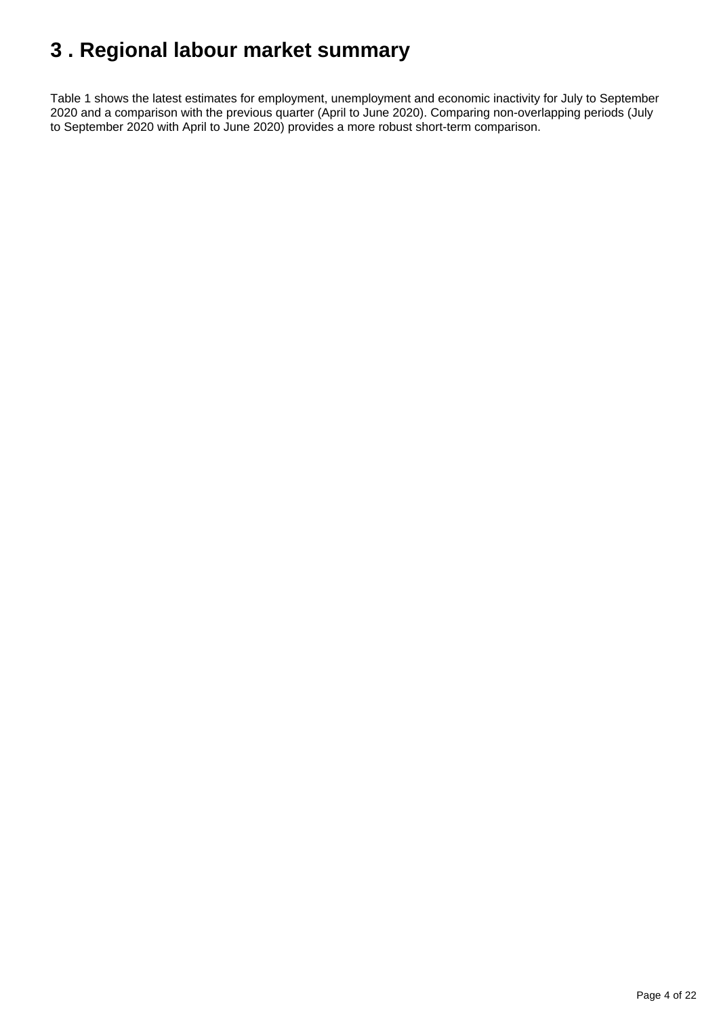# <span id="page-3-0"></span>**3 . Regional labour market summary**

Table 1 shows the latest estimates for employment, unemployment and economic inactivity for July to September 2020 and a comparison with the previous quarter (April to June 2020). Comparing non-overlapping periods (July to September 2020 with April to June 2020) provides a more robust short-term comparison.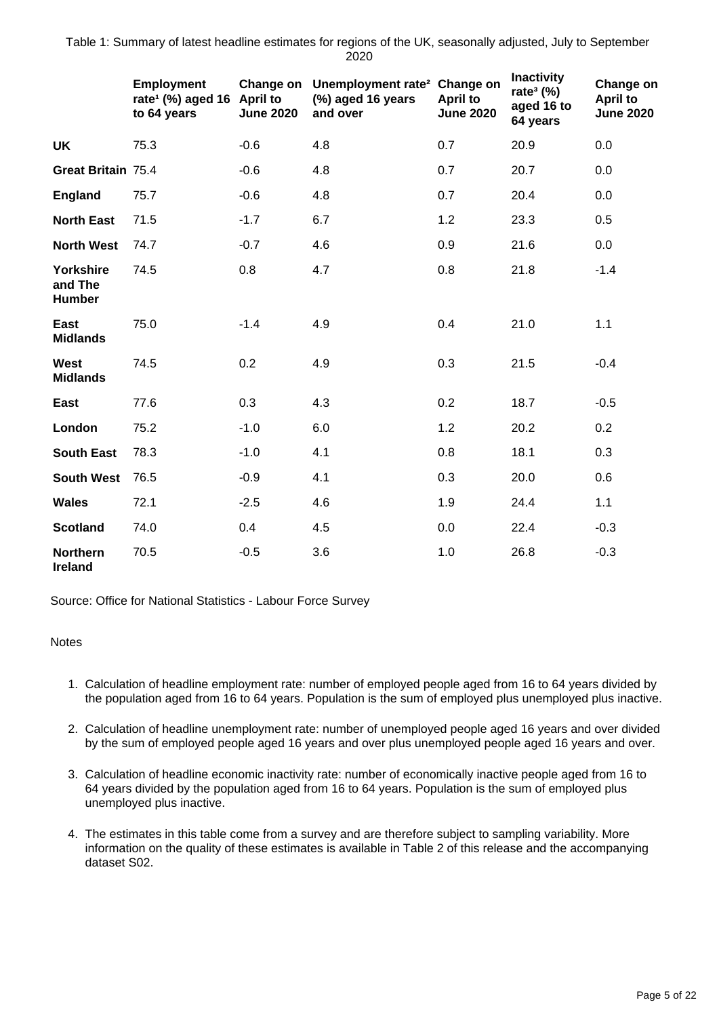Table 1: Summary of latest headline estimates for regions of the UK, seasonally adjusted, July to September 2020

|                                              | <b>Employment</b><br>rate <sup>1</sup> (%) aged 16 April to<br>to 64 years | <b>June 2020</b> | Change on Unemployment rate <sup>2</sup> Change on<br>(%) aged 16 years<br>and over | <b>April to</b><br><b>June 2020</b> | <b>Inactivity</b><br>rate <sup>3</sup> $(\%)$<br>aged 16 to<br>64 years | Change on<br><b>April to</b><br><b>June 2020</b> |
|----------------------------------------------|----------------------------------------------------------------------------|------------------|-------------------------------------------------------------------------------------|-------------------------------------|-------------------------------------------------------------------------|--------------------------------------------------|
| <b>UK</b>                                    | 75.3                                                                       | $-0.6$           | 4.8                                                                                 | 0.7                                 | 20.9                                                                    | 0.0                                              |
| Great Britain 75.4                           |                                                                            | $-0.6$           | 4.8                                                                                 | 0.7                                 | 20.7                                                                    | 0.0                                              |
| <b>England</b>                               | 75.7                                                                       | $-0.6$           | 4.8                                                                                 | 0.7                                 | 20.4                                                                    | 0.0                                              |
| <b>North East</b>                            | 71.5                                                                       | $-1.7$           | 6.7                                                                                 | 1.2                                 | 23.3                                                                    | 0.5                                              |
| <b>North West</b>                            | 74.7                                                                       | $-0.7$           | 4.6                                                                                 | 0.9                                 | 21.6                                                                    | 0.0                                              |
| <b>Yorkshire</b><br>and The<br><b>Humber</b> | 74.5                                                                       | 0.8              | 4.7                                                                                 | 0.8                                 | 21.8                                                                    | $-1.4$                                           |
| East<br><b>Midlands</b>                      | 75.0                                                                       | $-1.4$           | 4.9                                                                                 | 0.4                                 | 21.0                                                                    | 1.1                                              |
| <b>West</b><br><b>Midlands</b>               | 74.5                                                                       | 0.2              | 4.9                                                                                 | 0.3                                 | 21.5                                                                    | $-0.4$                                           |
| East                                         | 77.6                                                                       | 0.3              | 4.3                                                                                 | 0.2                                 | 18.7                                                                    | $-0.5$                                           |
| London                                       | 75.2                                                                       | $-1.0$           | 6.0                                                                                 | 1.2                                 | 20.2                                                                    | 0.2                                              |
| <b>South East</b>                            | 78.3                                                                       | $-1.0$           | 4.1                                                                                 | 0.8                                 | 18.1                                                                    | 0.3                                              |
| <b>South West</b>                            | 76.5                                                                       | $-0.9$           | 4.1                                                                                 | 0.3                                 | 20.0                                                                    | 0.6                                              |
| <b>Wales</b>                                 | 72.1                                                                       | $-2.5$           | 4.6                                                                                 | 1.9                                 | 24.4                                                                    | 1.1                                              |
| <b>Scotland</b>                              | 74.0                                                                       | 0.4              | 4.5                                                                                 | 0.0                                 | 22.4                                                                    | $-0.3$                                           |
| <b>Northern</b><br><b>Ireland</b>            | 70.5                                                                       | $-0.5$           | 3.6                                                                                 | 1.0                                 | 26.8                                                                    | $-0.3$                                           |

Source: Office for National Statistics - Labour Force Survey

### **Notes**

- 1. Calculation of headline employment rate: number of employed people aged from 16 to 64 years divided by the population aged from 16 to 64 years. Population is the sum of employed plus unemployed plus inactive.
- 2. Calculation of headline unemployment rate: number of unemployed people aged 16 years and over divided by the sum of employed people aged 16 years and over plus unemployed people aged 16 years and over.
- 3. Calculation of headline economic inactivity rate: number of economically inactive people aged from 16 to 64 years divided by the population aged from 16 to 64 years. Population is the sum of employed plus unemployed plus inactive.
- 4. The estimates in this table come from a survey and are therefore subject to sampling variability. More information on the quality of these estimates is available in Table 2 of this release and the accompanying dataset S02.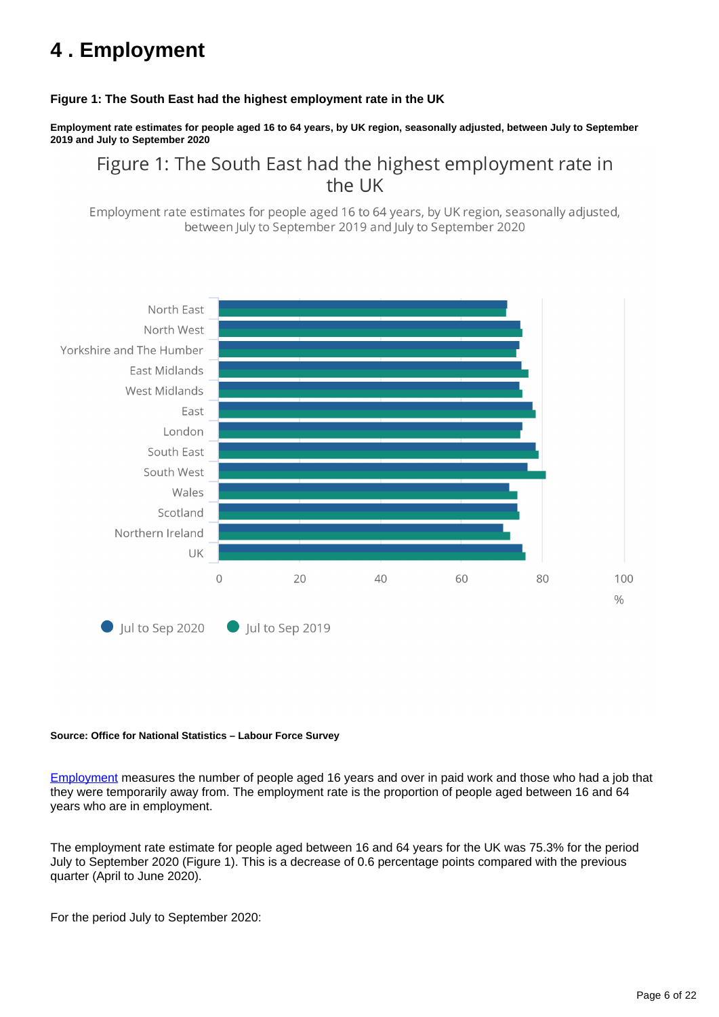# <span id="page-5-0"></span>**4 . Employment**

### **Figure 1: The South East had the highest employment rate in the UK**

**Employment rate estimates for people aged 16 to 64 years, by UK region, seasonally adjusted, between July to September 2019 and July to September 2020**

Figure 1: The South East had the highest employment rate in the UK

Employment rate estimates for people aged 16 to 64 years, by UK region, seasonally adjusted, between July to September 2019 and July to September 2020



### **Source: Office for National Statistics – Labour Force Survey**

[Employment](https://www.ons.gov.uk/employmentandlabourmarket/peopleinwork/employmentandemployeetypes/methodologies/aguidetolabourmarketstatistics#employment) measures the number of people aged 16 years and over in paid work and those who had a job that they were temporarily away from. The employment rate is the proportion of people aged between 16 and 64 years who are in employment.

The employment rate estimate for people aged between 16 and 64 years for the UK was 75.3% for the period July to September 2020 (Figure 1). This is a decrease of 0.6 percentage points compared with the previous quarter (April to June 2020).

For the period July to September 2020: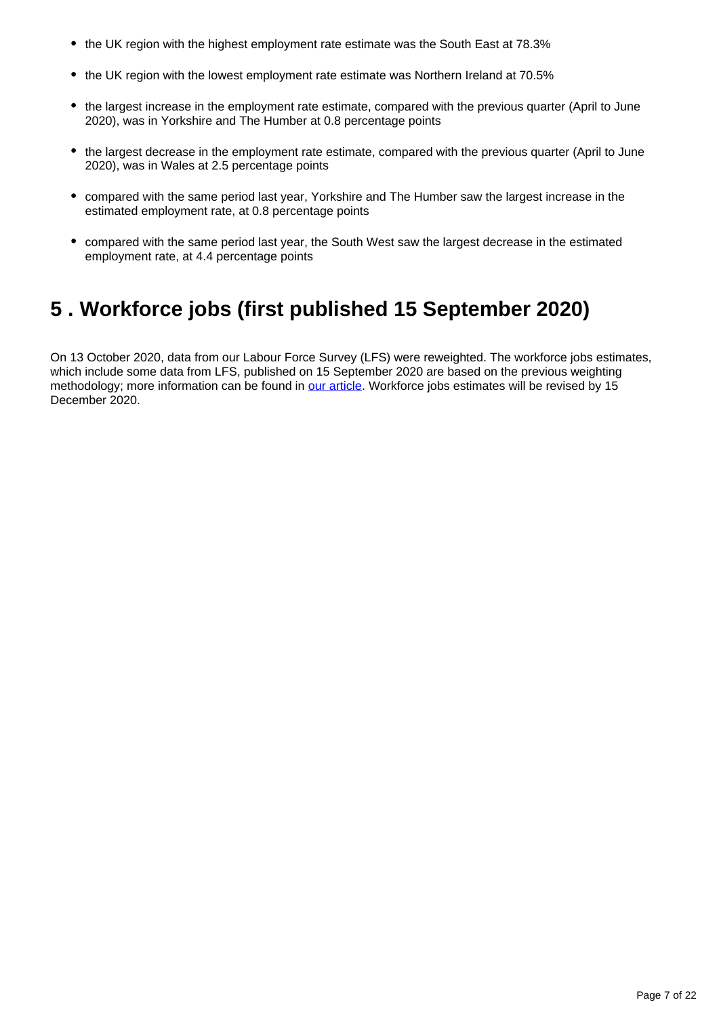- the UK region with the highest employment rate estimate was the South East at 78.3%
- the UK region with the lowest employment rate estimate was Northern Ireland at 70.5%
- the largest increase in the employment rate estimate, compared with the previous quarter (April to June 2020), was in Yorkshire and The Humber at 0.8 percentage points
- the largest decrease in the employment rate estimate, compared with the previous quarter (April to June 2020), was in Wales at 2.5 percentage points
- compared with the same period last year, Yorkshire and The Humber saw the largest increase in the estimated employment rate, at 0.8 percentage points
- compared with the same period last year, the South West saw the largest decrease in the estimated employment rate, at 4.4 percentage points

# <span id="page-6-0"></span>**5 . Workforce jobs (first published 15 September 2020)**

On 13 October 2020, data from our Labour Force Survey (LFS) were reweighted. The workforce jobs estimates, which include some data from LFS, published on 15 September 2020 are based on the previous weighting methodology; more information can be found in [our article.](https://www.ons.gov.uk/employmentandlabourmarket/peopleinwork/employmentandemployeetypes/articles/coronavirusanditsimpactonthelabourforcesurvey/2020-10-13) Workforce jobs estimates will be revised by 15 December 2020.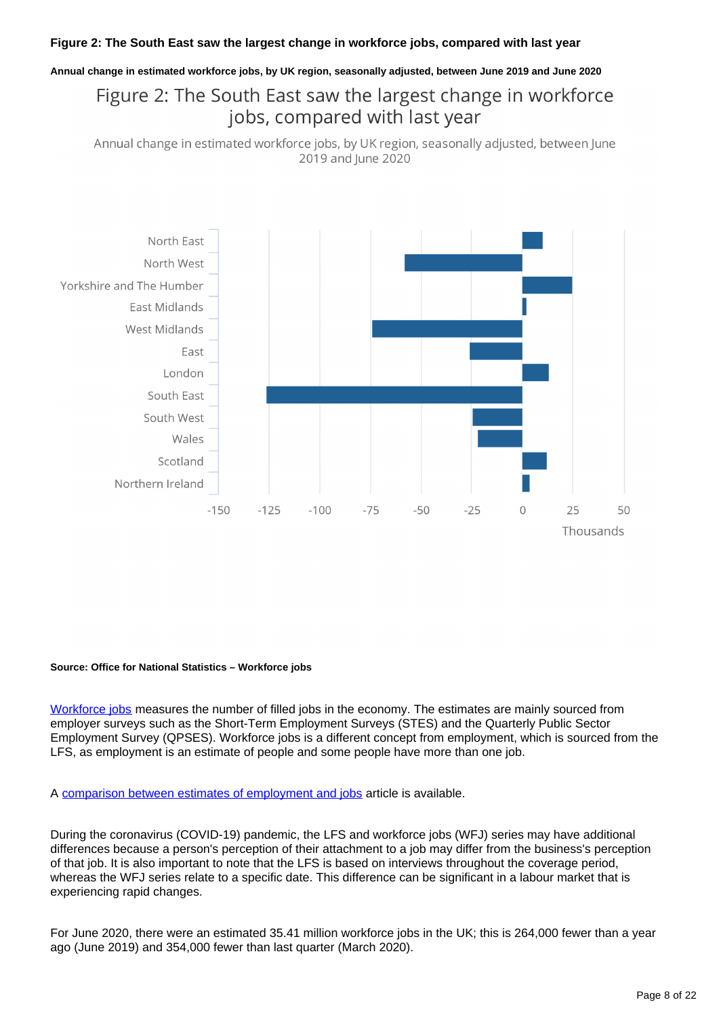### **Figure 2: The South East saw the largest change in workforce jobs, compared with last year**

#### **Annual change in estimated workforce jobs, by UK region, seasonally adjusted, between June 2019 and June 2020**

# Figure 2: The South East saw the largest change in workforce jobs, compared with last year

Annual change in estimated workforce jobs, by UK region, seasonally adjusted, between June 2019 and June 2020



#### **Source: Office for National Statistics – Workforce jobs**

[Workforce jobs](https://www.ons.gov.uk/employmentandlabourmarket/peopleinwork/employmentandemployeetypes/methodologies/aguidetolabourmarketstatistics#jobs) measures the number of filled jobs in the economy. The estimates are mainly sourced from employer surveys such as the Short-Term Employment Surveys (STES) and the Quarterly Public Sector Employment Survey (QPSES). Workforce jobs is a different concept from employment, which is sourced from the LFS, as employment is an estimate of people and some people have more than one job.

A [comparison between estimates of employment and jobs](http://www.ons.gov.uk/employmentandlabourmarket/peopleinwork/employmentandemployeetypes/articles/reconciliationofestimatesofjobs/latest) article is available.

During the coronavirus (COVID-19) pandemic, the LFS and workforce jobs (WFJ) series may have additional differences because a person's perception of their attachment to a job may differ from the business's perception of that job. It is also important to note that the LFS is based on interviews throughout the coverage period, whereas the WFJ series relate to a specific date. This difference can be significant in a labour market that is experiencing rapid changes.

For June 2020, there were an estimated 35.41 million workforce jobs in the UK; this is 264,000 fewer than a year ago (June 2019) and 354,000 fewer than last quarter (March 2020).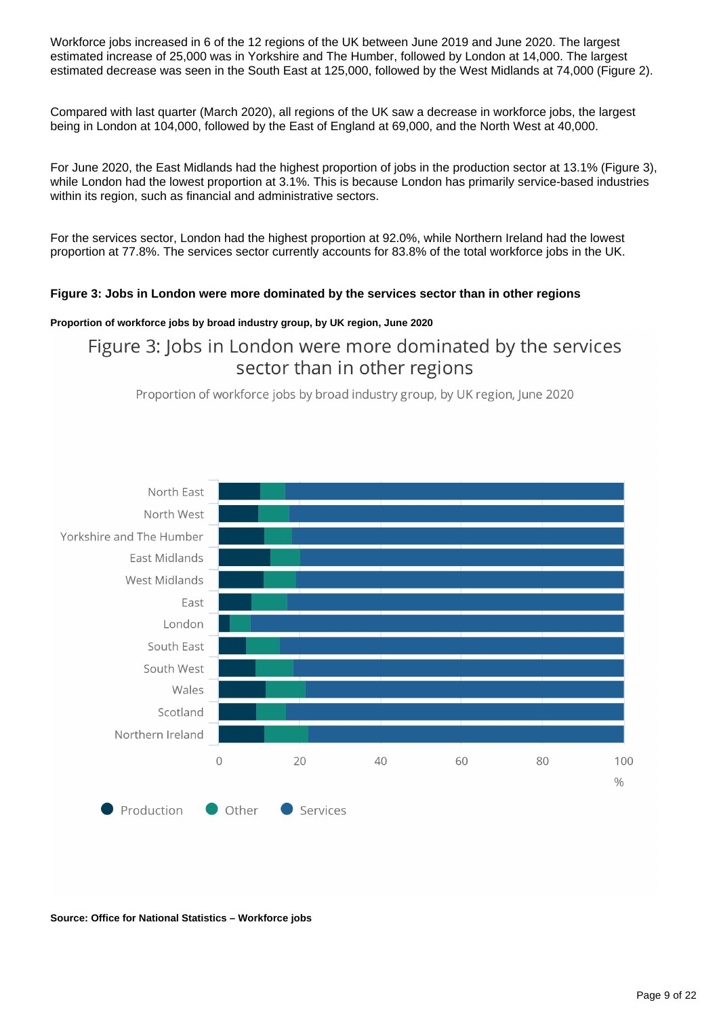Workforce jobs increased in 6 of the 12 regions of the UK between June 2019 and June 2020. The largest estimated increase of 25,000 was in Yorkshire and The Humber, followed by London at 14,000. The largest estimated decrease was seen in the South East at 125,000, followed by the West Midlands at 74,000 (Figure 2).

Compared with last quarter (March 2020), all regions of the UK saw a decrease in workforce jobs, the largest being in London at 104,000, followed by the East of England at 69,000, and the North West at 40,000.

For June 2020, the East Midlands had the highest proportion of jobs in the production sector at 13.1% (Figure 3), while London had the lowest proportion at 3.1%. This is because London has primarily service-based industries within its region, such as financial and administrative sectors.

For the services sector, London had the highest proportion at 92.0%, while Northern Ireland had the lowest proportion at 77.8%. The services sector currently accounts for 83.8% of the total workforce jobs in the UK.

### **Figure 3: Jobs in London were more dominated by the services sector than in other regions**

### **Proportion of workforce jobs by broad industry group, by UK region, June 2020**

# Figure 3: Jobs in London were more dominated by the services sector than in other regions

Proportion of workforce jobs by broad industry group, by UK region, June 2020



**Source: Office for National Statistics – Workforce jobs**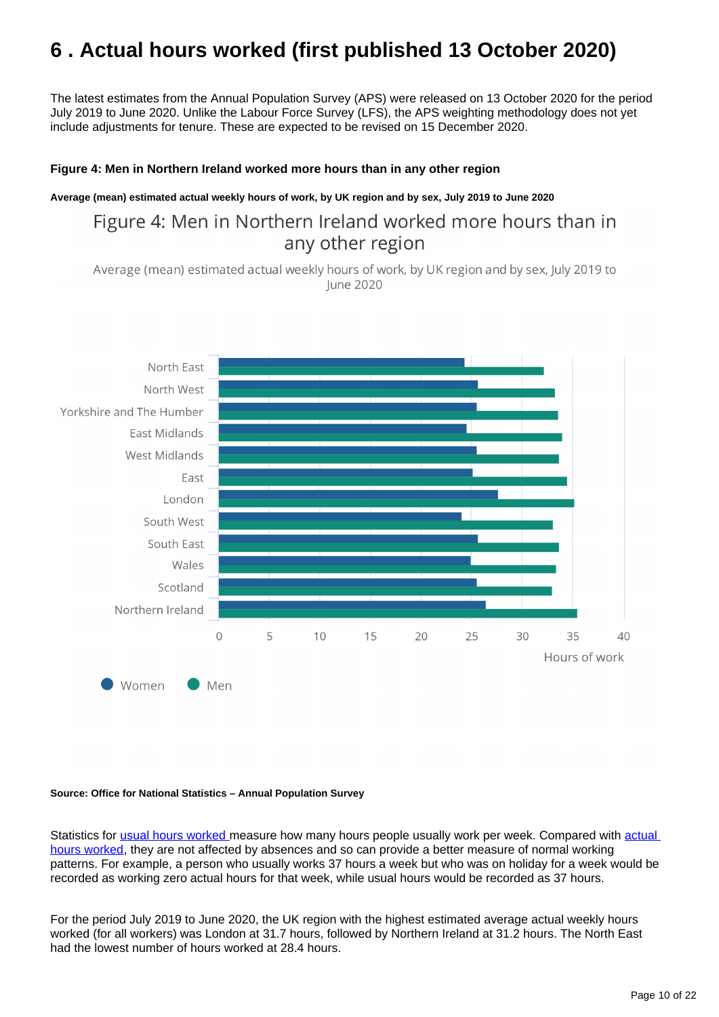# <span id="page-9-0"></span>**6 . Actual hours worked (first published 13 October 2020)**

The latest estimates from the Annual Population Survey (APS) were released on 13 October 2020 for the period July 2019 to June 2020. Unlike the Labour Force Survey (LFS), the APS weighting methodology does not yet include adjustments for tenure. These are expected to be revised on 15 December 2020.

### **Figure 4: Men in Northern Ireland worked more hours than in any other region**

**Average (mean) estimated actual weekly hours of work, by UK region and by sex, July 2019 to June 2020**

# Figure 4: Men in Northern Ireland worked more hours than in any other region

Average (mean) estimated actual weekly hours of work, by UK region and by sex, July 2019 to June 2020



#### **Source: Office for National Statistics – Annual Population Survey**

Statistics for [usual hours worked](https://www.ons.gov.uk/employmentandlabourmarket/peopleinwork/employmentandemployeetypes/methodologies/aguidetolabourmarketstatistics#hours-of-work) measure how many hours people usually work per week. Compared with actual [hours worked](https://www.ons.gov.uk/employmentandlabourmarket/peopleinwork/employmentandemployeetypes/methodologies/aguidetolabourmarketstatistics#hours-of-work), they are not affected by absences and so can provide a better measure of normal working patterns. For example, a person who usually works 37 hours a week but who was on holiday for a week would be recorded as working zero actual hours for that week, while usual hours would be recorded as 37 hours.

For the period July 2019 to June 2020, the UK region with the highest estimated average actual weekly hours worked (for all workers) was London at 31.7 hours, followed by Northern Ireland at 31.2 hours. The North East had the lowest number of hours worked at 28.4 hours.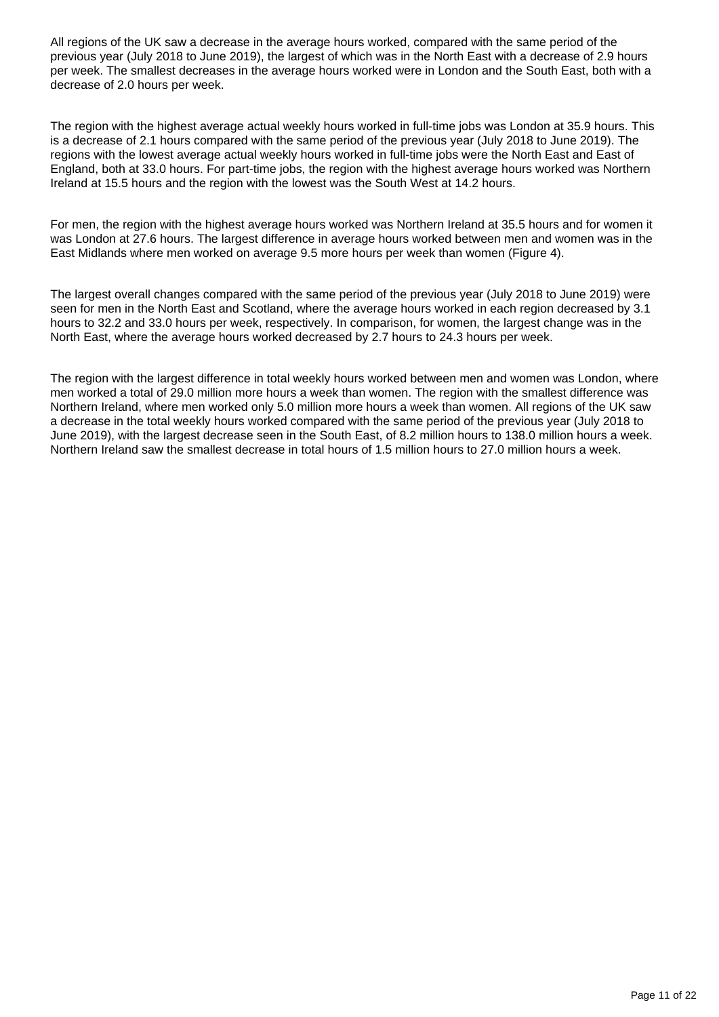All regions of the UK saw a decrease in the average hours worked, compared with the same period of the previous year (July 2018 to June 2019), the largest of which was in the North East with a decrease of 2.9 hours per week. The smallest decreases in the average hours worked were in London and the South East, both with a decrease of 2.0 hours per week.

The region with the highest average actual weekly hours worked in full-time jobs was London at 35.9 hours. This is a decrease of 2.1 hours compared with the same period of the previous year (July 2018 to June 2019). The regions with the lowest average actual weekly hours worked in full-time jobs were the North East and East of England, both at 33.0 hours. For part-time jobs, the region with the highest average hours worked was Northern Ireland at 15.5 hours and the region with the lowest was the South West at 14.2 hours.

For men, the region with the highest average hours worked was Northern Ireland at 35.5 hours and for women it was London at 27.6 hours. The largest difference in average hours worked between men and women was in the East Midlands where men worked on average 9.5 more hours per week than women (Figure 4).

The largest overall changes compared with the same period of the previous year (July 2018 to June 2019) were seen for men in the North East and Scotland, where the average hours worked in each region decreased by 3.1 hours to 32.2 and 33.0 hours per week, respectively. In comparison, for women, the largest change was in the North East, where the average hours worked decreased by 2.7 hours to 24.3 hours per week.

The region with the largest difference in total weekly hours worked between men and women was London, where men worked a total of 29.0 million more hours a week than women. The region with the smallest difference was Northern Ireland, where men worked only 5.0 million more hours a week than women. All regions of the UK saw a decrease in the total weekly hours worked compared with the same period of the previous year (July 2018 to June 2019), with the largest decrease seen in the South East, of 8.2 million hours to 138.0 million hours a week. Northern Ireland saw the smallest decrease in total hours of 1.5 million hours to 27.0 million hours a week.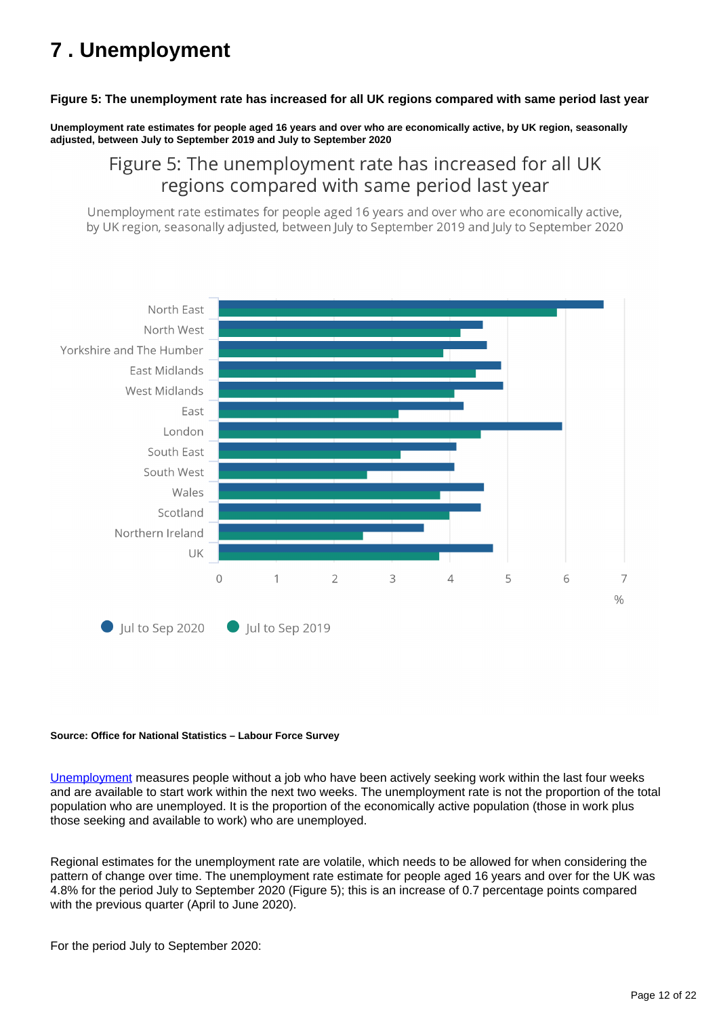# <span id="page-11-0"></span>**7 . Unemployment**

### **Figure 5: The unemployment rate has increased for all UK regions compared with same period last year**

**Unemployment rate estimates for people aged 16 years and over who are economically active, by UK region, seasonally adjusted, between July to September 2019 and July to September 2020**

## Figure 5: The unemployment rate has increased for all UK regions compared with same period last year

Unemployment rate estimates for people aged 16 years and over who are economically active, by UK region, seasonally adjusted, between July to September 2019 and July to September 2020



#### **Source: Office for National Statistics – Labour Force Survey**

[Unemployment](https://www.ons.gov.uk/employmentandlabourmarket/peopleinwork/employmentandemployeetypes/methodologies/aguidetolabourmarketstatistics#unemployment) measures people without a job who have been actively seeking work within the last four weeks and are available to start work within the next two weeks. The unemployment rate is not the proportion of the total population who are unemployed. It is the proportion of the economically active population (those in work plus those seeking and available to work) who are unemployed.

Regional estimates for the unemployment rate are volatile, which needs to be allowed for when considering the pattern of change over time. The unemployment rate estimate for people aged 16 years and over for the UK was 4.8% for the period July to September 2020 (Figure 5); this is an increase of 0.7 percentage points compared with the previous quarter (April to June 2020).

For the period July to September 2020: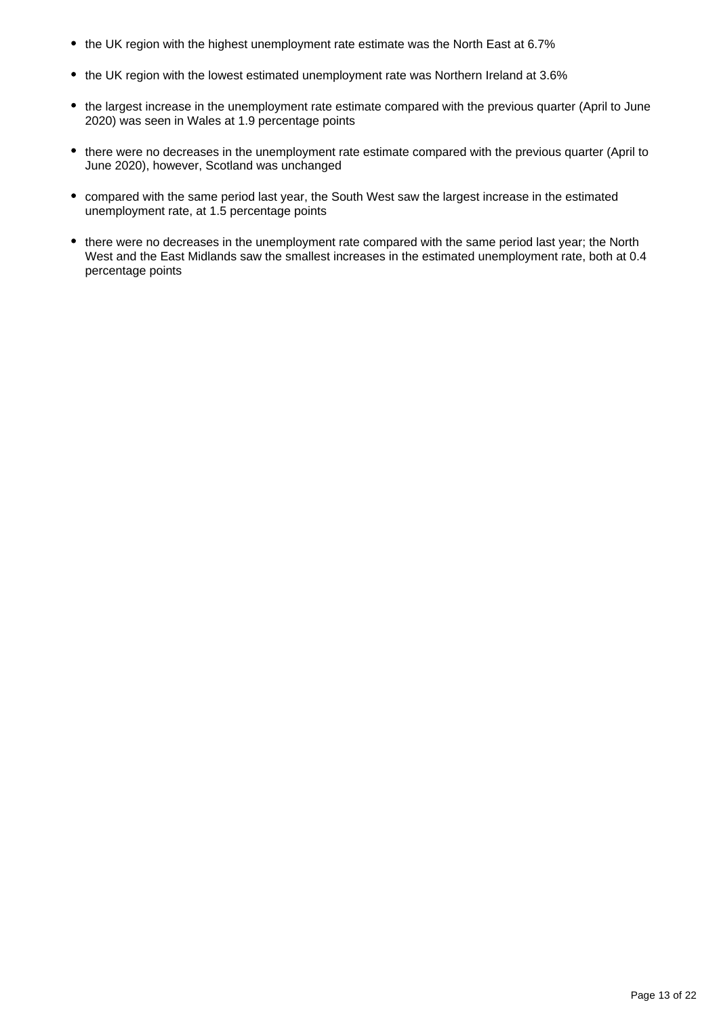- the UK region with the highest unemployment rate estimate was the North East at 6.7%
- the UK region with the lowest estimated unemployment rate was Northern Ireland at 3.6%
- the largest increase in the unemployment rate estimate compared with the previous quarter (April to June 2020) was seen in Wales at 1.9 percentage points
- there were no decreases in the unemployment rate estimate compared with the previous quarter (April to June 2020), however, Scotland was unchanged
- compared with the same period last year, the South West saw the largest increase in the estimated unemployment rate, at 1.5 percentage points
- there were no decreases in the unemployment rate compared with the same period last year; the North West and the East Midlands saw the smallest increases in the estimated unemployment rate, both at 0.4 percentage points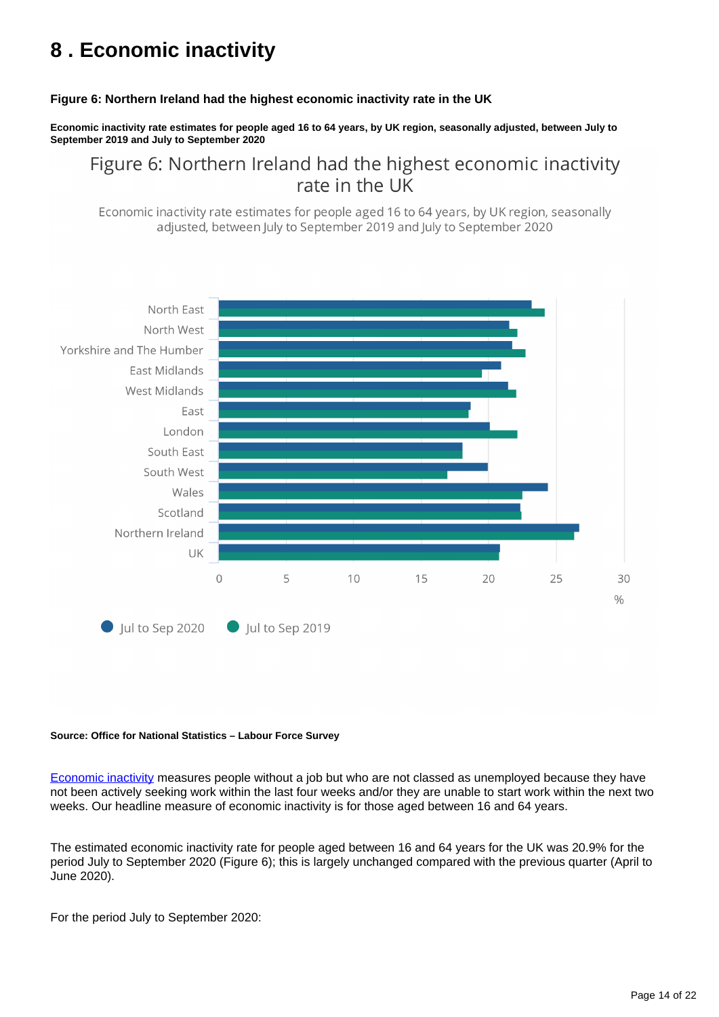# <span id="page-13-0"></span>**8 . Economic inactivity**

### **Figure 6: Northern Ireland had the highest economic inactivity rate in the UK**

**Economic inactivity rate estimates for people aged 16 to 64 years, by UK region, seasonally adjusted, between July to September 2019 and July to September 2020**

Figure 6: Northern Ireland had the highest economic inactivity rate in the UK

Economic inactivity rate estimates for people aged 16 to 64 years, by UK region, seasonally adjusted, between July to September 2019 and July to September 2020



#### **Source: Office for National Statistics – Labour Force Survey**

[Economic inactivity](https://www.ons.gov.uk/employmentandlabourmarket/peopleinwork/employmentandemployeetypes/methodologies/aguidetolabourmarketstatistics/#economic-inactivity) measures people without a job but who are not classed as unemployed because they have not been actively seeking work within the last four weeks and/or they are unable to start work within the next two weeks. Our headline measure of economic inactivity is for those aged between 16 and 64 years.

The estimated economic inactivity rate for people aged between 16 and 64 years for the UK was 20.9% for the period July to September 2020 (Figure 6); this is largely unchanged compared with the previous quarter (April to June 2020).

For the period July to September 2020: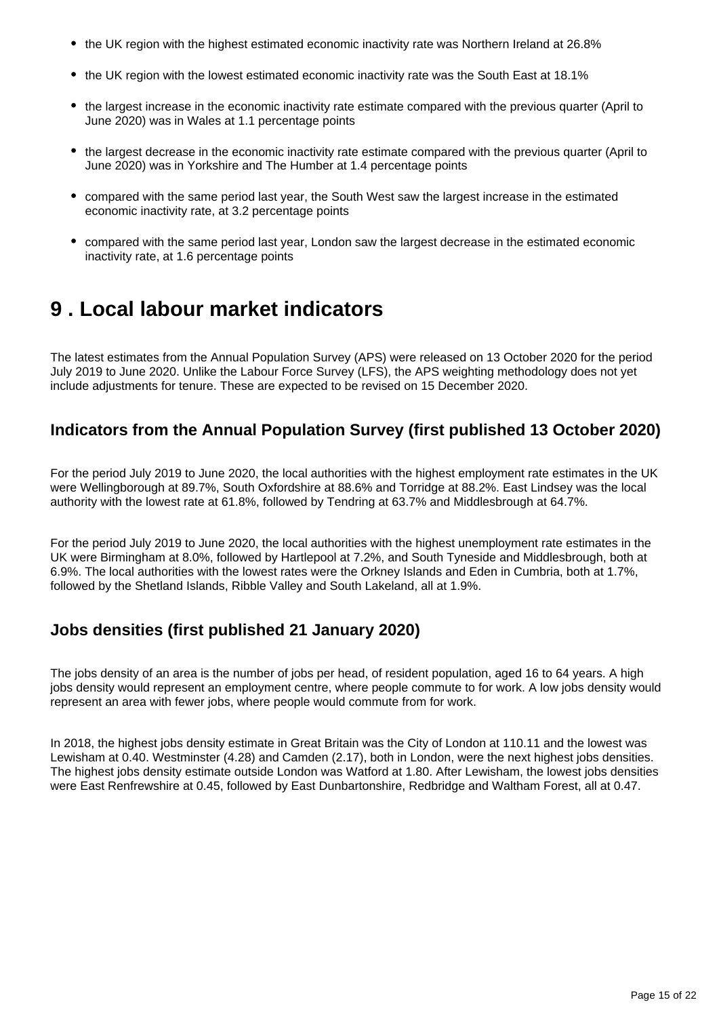- the UK region with the highest estimated economic inactivity rate was Northern Ireland at 26.8%
- the UK region with the lowest estimated economic inactivity rate was the South East at 18.1%
- the largest increase in the economic inactivity rate estimate compared with the previous quarter (April to June 2020) was in Wales at 1.1 percentage points
- the largest decrease in the economic inactivity rate estimate compared with the previous quarter (April to June 2020) was in Yorkshire and The Humber at 1.4 percentage points
- compared with the same period last year, the South West saw the largest increase in the estimated economic inactivity rate, at 3.2 percentage points
- compared with the same period last year, London saw the largest decrease in the estimated economic inactivity rate, at 1.6 percentage points

# <span id="page-14-0"></span>**9 . Local labour market indicators**

The latest estimates from the Annual Population Survey (APS) were released on 13 October 2020 for the period July 2019 to June 2020. Unlike the Labour Force Survey (LFS), the APS weighting methodology does not yet include adjustments for tenure. These are expected to be revised on 15 December 2020.

## **Indicators from the Annual Population Survey (first published 13 October 2020)**

For the period July 2019 to June 2020, the local authorities with the highest employment rate estimates in the UK were Wellingborough at 89.7%, South Oxfordshire at 88.6% and Torridge at 88.2%. East Lindsey was the local authority with the lowest rate at 61.8%, followed by Tendring at 63.7% and Middlesbrough at 64.7%.

For the period July 2019 to June 2020, the local authorities with the highest unemployment rate estimates in the UK were Birmingham at 8.0%, followed by Hartlepool at 7.2%, and South Tyneside and Middlesbrough, both at 6.9%. The local authorities with the lowest rates were the Orkney Islands and Eden in Cumbria, both at 1.7%, followed by the Shetland Islands, Ribble Valley and South Lakeland, all at 1.9%.

# **Jobs densities (first published 21 January 2020)**

The jobs density of an area is the number of jobs per head, of resident population, aged 16 to 64 years. A high jobs density would represent an employment centre, where people commute to for work. A low jobs density would represent an area with fewer jobs, where people would commute from for work.

In 2018, the highest jobs density estimate in Great Britain was the City of London at 110.11 and the lowest was Lewisham at 0.40. Westminster (4.28) and Camden (2.17), both in London, were the next highest jobs densities. The highest jobs density estimate outside London was Watford at 1.80. After Lewisham, the lowest jobs densities were East Renfrewshire at 0.45, followed by East Dunbartonshire, Redbridge and Waltham Forest, all at 0.47.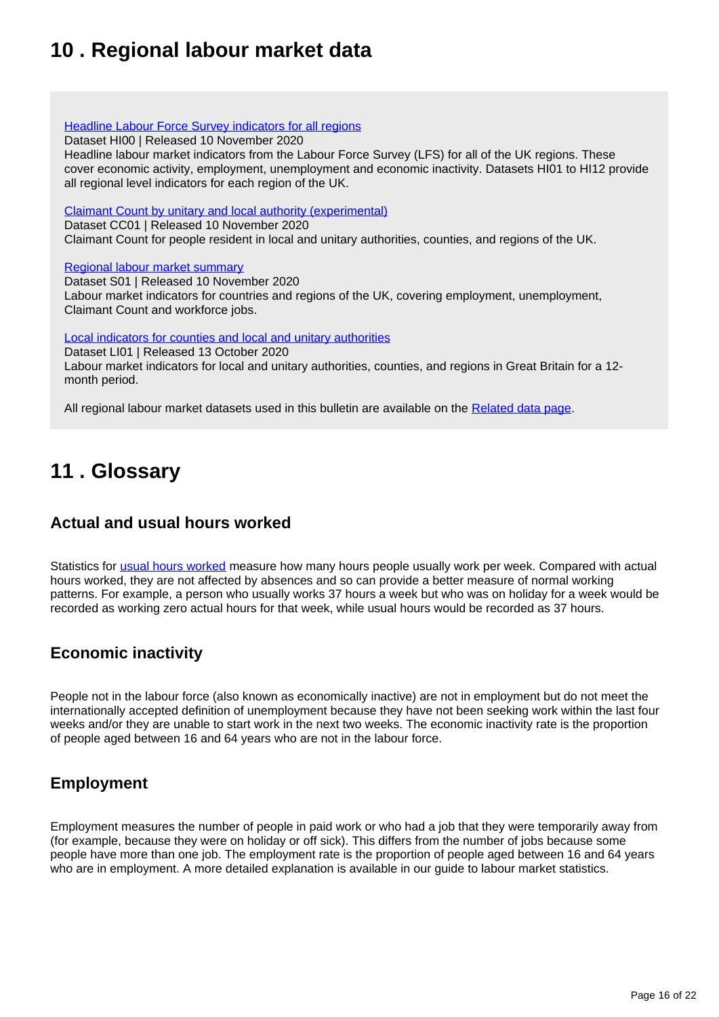# <span id="page-15-0"></span>**10 . Regional labour market data**

### **[Headline Labour Force Survey indicators for all regions](https://www.ons.gov.uk/employmentandlabourmarket/peopleinwork/employmentandemployeetypes/datasets/headlinelabourforcesurveyindicatorsforallregionshi00)**

Dataset HI00 | Released 10 November 2020

Headline labour market indicators from the Labour Force Survey (LFS) for all of the UK regions. These cover economic activity, employment, unemployment and economic inactivity. Datasets HI01 to HI12 provide all regional level indicators for each region of the UK.

[Claimant Count by unitary and local authority \(experimental\)](https://www.ons.gov.uk/employmentandlabourmarket/peoplenotinwork/unemployment/datasets/claimantcountbyunitaryandlocalauthorityexperimental)

Dataset CC01 | Released 10 November 2020

Claimant Count for people resident in local and unitary authorities, counties, and regions of the UK.

### [Regional labour market summary](https://www.ons.gov.uk/employmentandlabourmarket/peopleinwork/employmentandemployeetypes/datasets/nationallabourmarketsummarybyregions01)

Dataset S01 | Released 10 November 2020 Labour market indicators for countries and regions of the UK, covering employment, unemployment, Claimant Count and workforce jobs.

[Local indicators for counties and local and unitary authorities](https://www.ons.gov.uk/employmentandlabourmarket/peopleinwork/employmentandemployeetypes/datasets/locallabourmarketindicatorsforcountieslocalandunitaryauthoritiesli01)

Dataset LI01 | Released 13 October 2020

Labour market indicators for local and unitary authorities, counties, and regions in Great Britain for a 12 month period.

All regional labour market datasets used in this bulletin are available on the [Related data page](https://www.ons.gov.uk/employmentandlabourmarket/peopleinwork/employmentandemployeetypes/bulletins/regionallabourmarket/november2020/relateddata).

# <span id="page-15-1"></span>**11 . Glossary**

## **Actual and usual hours worked**

Statistics for [usual hours worked](https://www.ons.gov.uk/employmentandlabourmarket/peopleinwork/employmentandemployeetypes/methodologies/aguidetolabourmarketstatistics#hours-of-work) measure how many hours people usually work per week. Compared with actual hours worked, they are not affected by absences and so can provide a better measure of normal working patterns. For example, a person who usually works 37 hours a week but who was on holiday for a week would be recorded as working zero actual hours for that week, while usual hours would be recorded as 37 hours.

## **Economic inactivity**

People not in the labour force (also known as economically inactive) are not in employment but do not meet the internationally accepted definition of unemployment because they have not been seeking work within the last four weeks and/or they are unable to start work in the next two weeks. The economic inactivity rate is the proportion of people aged between 16 and 64 years who are not in the labour force.

## **Employment**

Employment measures the number of people in paid work or who had a job that they were temporarily away from (for example, because they were on holiday or off sick). This differs from the number of jobs because some people have more than one job. The employment rate is the proportion of people aged between 16 and 64 years who are in employment. A more detailed explanation is available in our guide to labour market statistics.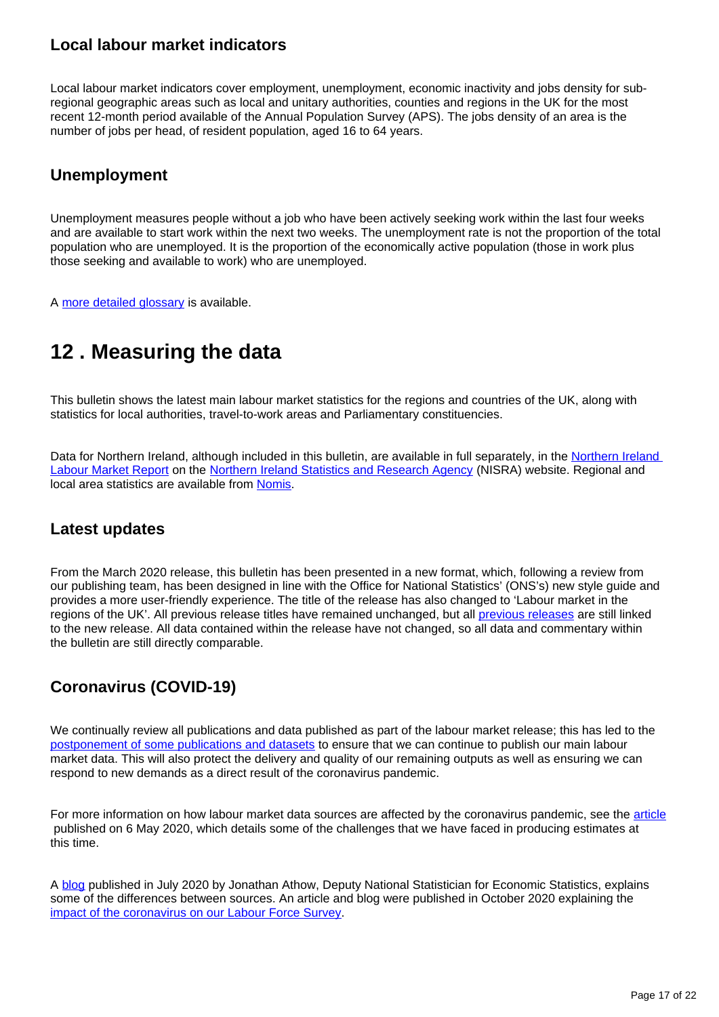## **Local labour market indicators**

Local labour market indicators cover employment, unemployment, economic inactivity and jobs density for subregional geographic areas such as local and unitary authorities, counties and regions in the UK for the most recent 12-month period available of the Annual Population Survey (APS). The jobs density of an area is the number of jobs per head, of resident population, aged 16 to 64 years.

## **Unemployment**

Unemployment measures people without a job who have been actively seeking work within the last four weeks and are available to start work within the next two weeks. The unemployment rate is not the proportion of the total population who are unemployed. It is the proportion of the economically active population (those in work plus those seeking and available to work) who are unemployed.

A [more detailed glossary](https://www.ons.gov.uk/employmentandlabourmarket/peopleinwork/employmentandemployeetypes/methodologies/aguidetolabourmarketstatistics#glossary) is available.

# <span id="page-16-0"></span>**12 . Measuring the data**

This bulletin shows the latest main labour market statistics for the regions and countries of the UK, along with statistics for local authorities, travel-to-work areas and Parliamentary constituencies.

Data for Northern Ireland, although included in this bulletin, are available in full separately, in the Northern Ireland [Labour Market Report](https://www.nisra.gov.uk/statistics/labour-market-and-social-welfare/labour-force-survey) on the [Northern Ireland Statistics and Research Agency](https://www.gov.uk/government/organisations/northern-ireland-statistics-and-research-agency) (NISRA) website. Regional and local area statistics are available from [Nomis](http://www.nomisweb.co.uk/).

## **Latest updates**

From the March 2020 release, this bulletin has been presented in a new format, which, following a review from our publishing team, has been designed in line with the Office for National Statistics' (ONS's) new style guide and provides a more user-friendly experience. The title of the release has also changed to 'Labour market in the regions of the UK'. All previous release titles have remained unchanged, but all [previous releases](https://www.ons.gov.uk/employmentandlabourmarket/peopleinwork/employmentandemployeetypes/bulletins/regionallabourmarket/previousReleases) are still linked to the new release. All data contained within the release have not changed, so all data and commentary within the bulletin are still directly comparable.

## **Coronavirus (COVID-19)**

We continually review all publications and data published as part of the labour market release; this has led to the [postponement of some publications and datasets](https://www.ons.gov.uk/news/statementsandletters/updatetocoronavirusimpactonlabourmarketoutputs) to ensure that we can continue to publish our main labour market data. This will also protect the delivery and quality of our remaining outputs as well as ensuring we can respond to new demands as a direct result of the coronavirus pandemic.

For more information on how labour market data sources are affected by the coronavirus pandemic, see the [article](https://www.ons.gov.uk/employmentandlabourmarket/peopleinwork/employmentandemployeetypes/articles/coronavirusandtheeffectsonuklabourmarketstatistics/2020-05-06) published on 6 May 2020, which details some of the challenges that we have faced in producing estimates at this time.

A [blog](https://blog.ons.gov.uk/2020/07/16/a-covid-19-conundrum-why-are-nearly-half-a-million-employees-not-being-paid/) published in July 2020 by Jonathan Athow, Deputy National Statistician for Economic Statistics, explains some of the differences between sources. An article and blog were published in October 2020 explaining the [impact of the coronavirus on our Labour Force Survey.](https://www.ons.gov.uk/employmentandlabourmarket/peopleinwork/employmentandemployeetypes/articles/coronavirusanditsimpactonthelabourforcesurvey/2020-10-13)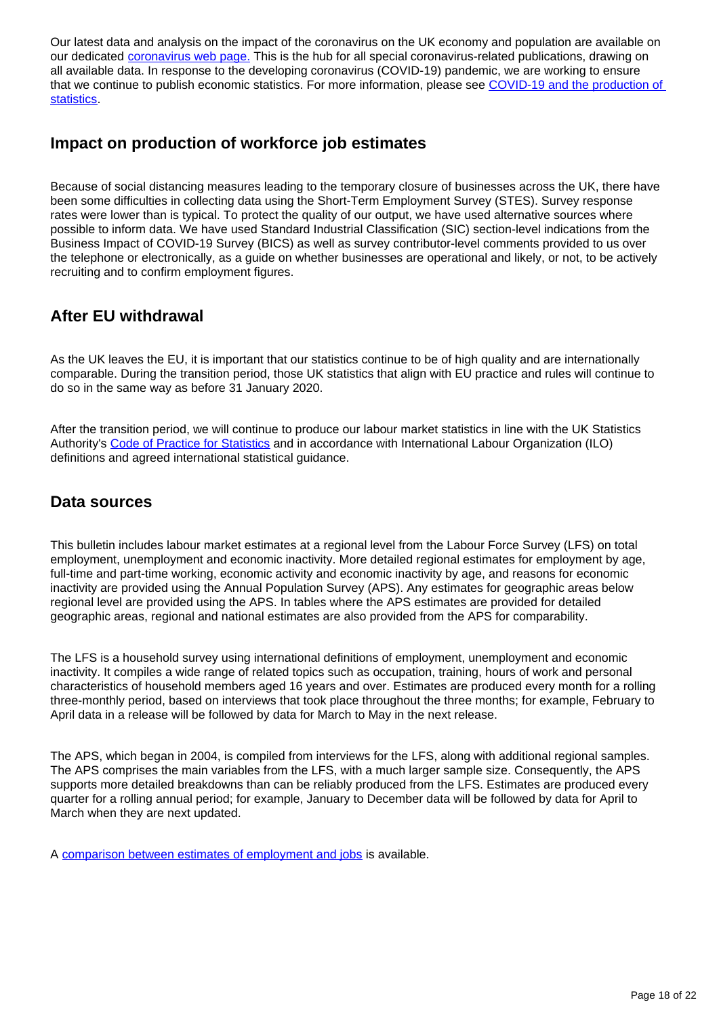Our latest data and analysis on the impact of the coronavirus on the UK economy and population are available on our dedicated [coronavirus web page.](http://www.ons.gov.uk/coronavirus) This is the hub for all special coronavirus-related publications, drawing on all available data. In response to the developing coronavirus (COVID-19) pandemic, we are working to ensure that we continue to publish economic statistics. For more information, please see [COVID-19 and the production of](https://www.ons.gov.uk/news/statementsandletters/covid19andtheproductionofstatistics)  [statistics.](https://www.ons.gov.uk/news/statementsandletters/covid19andtheproductionofstatistics)

### **Impact on production of workforce job estimates**

Because of social distancing measures leading to the temporary closure of businesses across the UK, there have been some difficulties in collecting data using the Short-Term Employment Survey (STES). Survey response rates were lower than is typical. To protect the quality of our output, we have used alternative sources where possible to inform data. We have used Standard Industrial Classification (SIC) section-level indications from the Business Impact of COVID-19 Survey (BICS) as well as survey contributor-level comments provided to us over the telephone or electronically, as a guide on whether businesses are operational and likely, or not, to be actively recruiting and to confirm employment figures.

## **After EU withdrawal**

As the UK leaves the EU, it is important that our statistics continue to be of high quality and are internationally comparable. During the transition period, those UK statistics that align with EU practice and rules will continue to do so in the same way as before 31 January 2020.

After the transition period, we will continue to produce our labour market statistics in line with the UK Statistics Authority's [Code of Practice for Statistics](https://code.statisticsauthority.gov.uk/) and in accordance with International Labour Organization (ILO) definitions and agreed international statistical guidance.

## **Data sources**

This bulletin includes labour market estimates at a regional level from the Labour Force Survey (LFS) on total employment, unemployment and economic inactivity. More detailed regional estimates for employment by age, full-time and part-time working, economic activity and economic inactivity by age, and reasons for economic inactivity are provided using the Annual Population Survey (APS). Any estimates for geographic areas below regional level are provided using the APS. In tables where the APS estimates are provided for detailed geographic areas, regional and national estimates are also provided from the APS for comparability.

The LFS is a household survey using international definitions of employment, unemployment and economic inactivity. It compiles a wide range of related topics such as occupation, training, hours of work and personal characteristics of household members aged 16 years and over. Estimates are produced every month for a rolling three-monthly period, based on interviews that took place throughout the three months; for example, February to April data in a release will be followed by data for March to May in the next release.

The APS, which began in 2004, is compiled from interviews for the LFS, along with additional regional samples. The APS comprises the main variables from the LFS, with a much larger sample size. Consequently, the APS supports more detailed breakdowns than can be reliably produced from the LFS. Estimates are produced every quarter for a rolling annual period; for example, January to December data will be followed by data for April to March when they are next updated.

A [comparison between estimates of employment and jobs](http://www.ons.gov.uk/employmentandlabourmarket/peopleinwork/employmentandemployeetypes/articles/reconciliationofestimatesofjobs/latest) is available.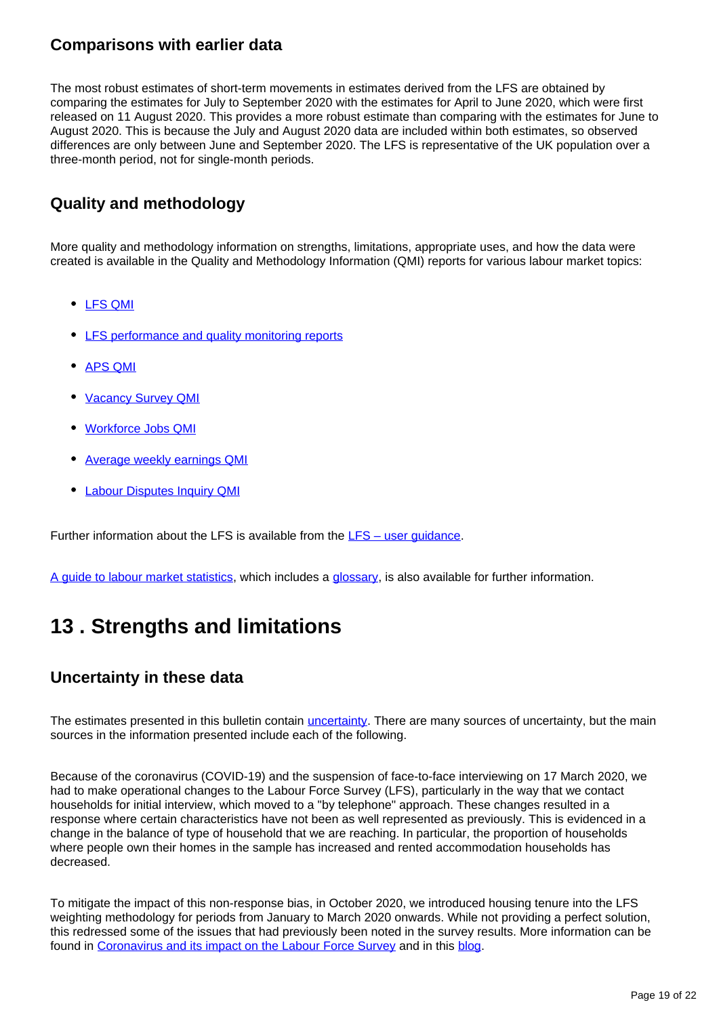### **Comparisons with earlier data**

The most robust estimates of short-term movements in estimates derived from the LFS are obtained by comparing the estimates for July to September 2020 with the estimates for April to June 2020, which were first released on 11 August 2020. This provides a more robust estimate than comparing with the estimates for June to August 2020. This is because the July and August 2020 data are included within both estimates, so observed differences are only between June and September 2020. The LFS is representative of the UK population over a three-month period, not for single-month periods.

## **Quality and methodology**

More quality and methodology information on strengths, limitations, appropriate uses, and how the data were created is available in the Quality and Methodology Information (QMI) reports for various labour market topics:

- [LFS QMI](https://www.ons.gov.uk/employmentandlabourmarket/peopleinwork/employmentandemployeetypes/qmis/labourforcesurveylfsqmi)
- [LFS performance and quality monitoring reports](https://www.ons.gov.uk/employmentandlabourmarket/peopleinwork/employmentandemployeetypes/methodologies/labourforcesurveyperformanceandqualitymonitoringreports)
- [APS QMI](https://www.ons.gov.uk/employmentandlabourmarket/peopleinwork/employmentandemployeetypes/methodologies/annualpopulationsurveyapsqmi)
- [Vacancy Survey QMI](https://www.ons.gov.uk/employmentandlabourmarket/peopleinwork/employmentandemployeetypes/qmis/vacancysurveyqmi)
- [Workforce Jobs QMI](https://www.ons.gov.uk/employmentandlabourmarket/peopleinwork/employmentandemployeetypes/qmis/workforcejobsqmi)
- [Average weekly earnings QMI](https://www.ons.gov.uk/employmentandlabourmarket/peopleinwork/earningsandworkinghours/methodologies/averageweeklyearningsqmi)
- [Labour Disputes Inquiry QMI](https://www.ons.gov.uk/employmentandlabourmarket/peopleinwork/workplacedisputesandworkingconditions/methodologies/labourdisputesinquiryqmi)

Further information about the LFS is available from the  $LFS -$  user quidance.

[A guide to labour market statistics](https://www.ons.gov.uk/employmentandlabourmarket/peopleinwork/employmentandemployeetypes/methodologies/aguidetolabourmarketstatistics), which includes a [glossary](https://www.ons.gov.uk/employmentandlabourmarket/peopleinwork/employmentandemployeetypes/methodologies/aguidetolabourmarketstatistics#glossary), is also available for further information.

# <span id="page-18-0"></span>**13 . Strengths and limitations**

## **Uncertainty in these data**

The estimates presented in this bulletin contain *[uncertainty](https://www.ons.gov.uk/methodology/methodologytopicsandstatisticalconcepts/uncertaintyandhowwemeasureit)*. There are many sources of uncertainty, but the main sources in the information presented include each of the following.

Because of the coronavirus (COVID-19) and the suspension of face-to-face interviewing on 17 March 2020, we had to make operational changes to the Labour Force Survey (LFS), particularly in the way that we contact households for initial interview, which moved to a "by telephone" approach. These changes resulted in a response where certain characteristics have not been as well represented as previously. This is evidenced in a change in the balance of type of household that we are reaching. In particular, the proportion of households where people own their homes in the sample has increased and rented accommodation households has decreased.

To mitigate the impact of this non-response bias, in October 2020, we introduced housing tenure into the LFS weighting methodology for periods from January to March 2020 onwards. While not providing a perfect solution, this redressed some of the issues that had previously been noted in the survey results. More information can be found in [Coronavirus and its impact on the Labour Force Survey](https://www.ons.gov.uk/employmentandlabourmarket/peopleinwork/employmentandemployeetypes/articles/coronavirusanditsimpactonthelabourforcesurvey/2020-10-13) and in this [blog.](https://blog.ons.gov.uk/2020/10/12/measuring-the-labour-market-during-the-pandemic/)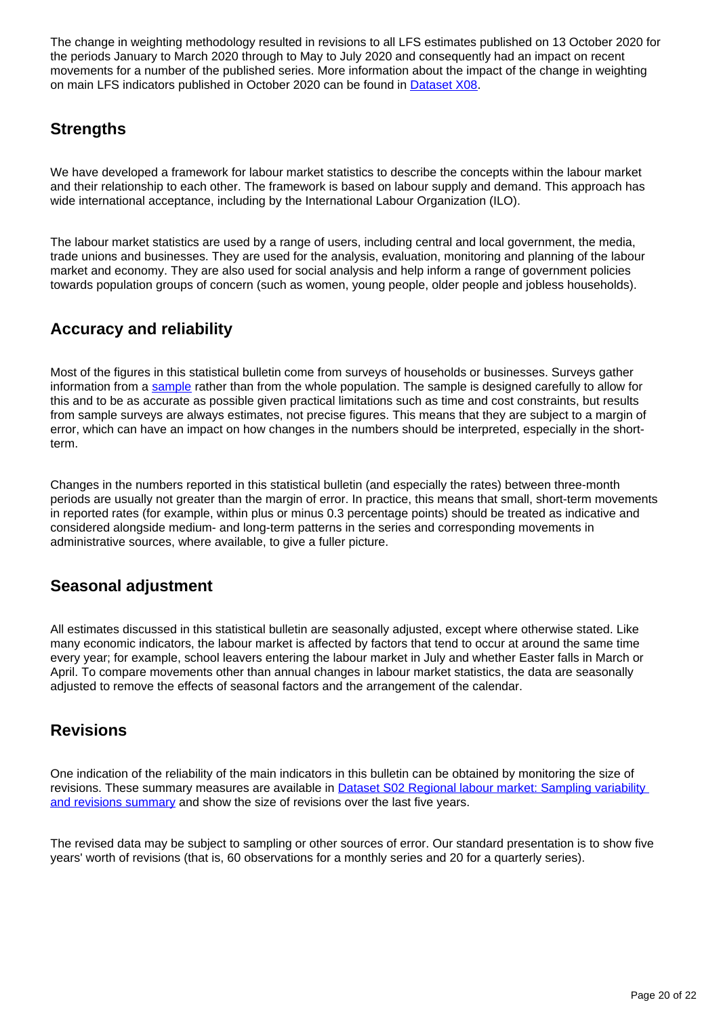The change in weighting methodology resulted in revisions to all LFS estimates published on 13 October 2020 for the periods January to March 2020 through to May to July 2020 and consequently had an impact on recent movements for a number of the published series. More information about the impact of the change in weighting on main LFS indicators published in October 2020 can be found in **Dataset X08**.

## **Strengths**

We have developed a framework for labour market statistics to describe the concepts within the labour market and their relationship to each other. The framework is based on labour supply and demand. This approach has wide international acceptance, including by the International Labour Organization (ILO).

The labour market statistics are used by a range of users, including central and local government, the media, trade unions and businesses. They are used for the analysis, evaluation, monitoring and planning of the labour market and economy. They are also used for social analysis and help inform a range of government policies towards population groups of concern (such as women, young people, older people and jobless households).

## **Accuracy and reliability**

Most of the figures in this statistical bulletin come from surveys of households or businesses. Surveys gather information from a [sample](https://www.ons.gov.uk/methodology/methodologytopicsandstatisticalconcepts/uncertaintyandhowwemeasureit#sampling-the-population) rather than from the whole population. The sample is designed carefully to allow for this and to be as accurate as possible given practical limitations such as time and cost constraints, but results from sample surveys are always estimates, not precise figures. This means that they are subject to a margin of error, which can have an impact on how changes in the numbers should be interpreted, especially in the shortterm.

Changes in the numbers reported in this statistical bulletin (and especially the rates) between three-month periods are usually not greater than the margin of error. In practice, this means that small, short-term movements in reported rates (for example, within plus or minus 0.3 percentage points) should be treated as indicative and considered alongside medium- and long-term patterns in the series and corresponding movements in administrative sources, where available, to give a fuller picture.

## **Seasonal adjustment**

All estimates discussed in this statistical bulletin are seasonally adjusted, except where otherwise stated. Like many economic indicators, the labour market is affected by factors that tend to occur at around the same time every year; for example, school leavers entering the labour market in July and whether Easter falls in March or April. To compare movements other than annual changes in labour market statistics, the data are seasonally adjusted to remove the effects of seasonal factors and the arrangement of the calendar.

## **Revisions**

One indication of the reliability of the main indicators in this bulletin can be obtained by monitoring the size of revisions. These summary measures are available in **Dataset S02 Regional labour market: Sampling variability** [and revisions summary](http://www.ons.gov.uk/employmentandlabourmarket/peopleinwork/employmentandemployeetypes/datasets/samplingvariabilityandrevisionssummaryforregionallabourmarketstatisticss02) and show the size of revisions over the last five years.

The revised data may be subject to sampling or other sources of error. Our standard presentation is to show five years' worth of revisions (that is, 60 observations for a monthly series and 20 for a quarterly series).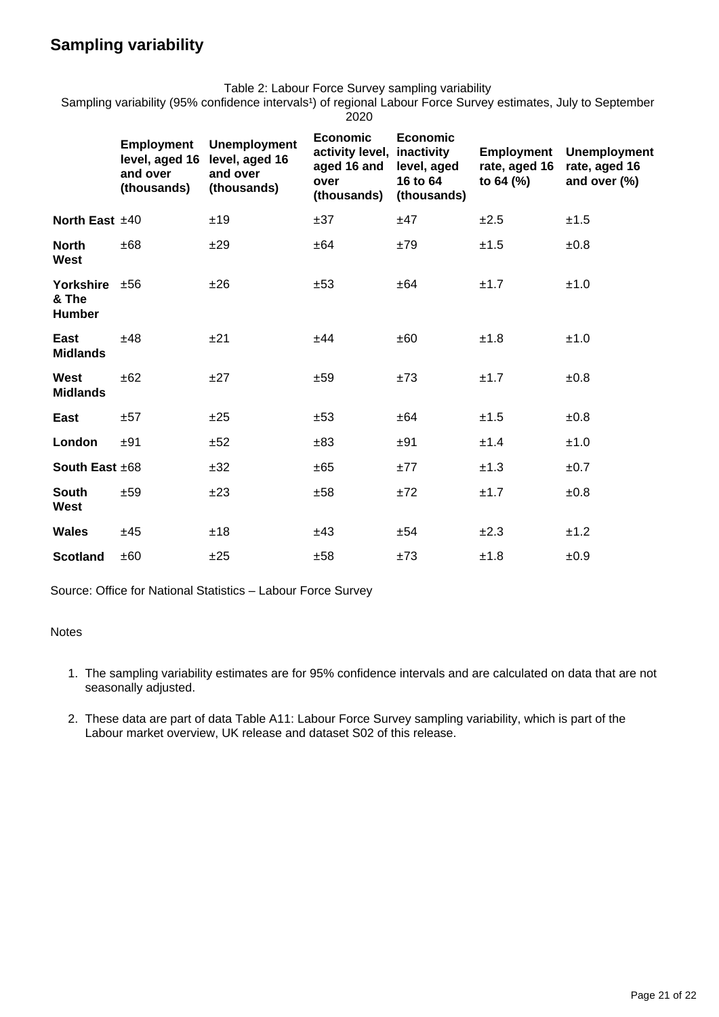## **Sampling variability**

Table 2: Labour Force Survey sampling variability

Sampling variability (95% confidence intervals<sup>1</sup>) of regional Labour Force Survey estimates, July to September 2020

|                                           | <b>Employment</b><br>level, aged 16<br>and over | <b>Unemployment</b><br>level, aged 16<br>and over | <b>Economic</b><br>activity level,<br>aged 16 and<br>over | <b>Economic</b><br>inactivity<br>level, aged<br>16 to 64 | Employment<br>rate, aged 16<br>to 64 (%) | <b>Unemployment</b><br>rate, aged 16<br>and over (%) |  |
|-------------------------------------------|-------------------------------------------------|---------------------------------------------------|-----------------------------------------------------------|----------------------------------------------------------|------------------------------------------|------------------------------------------------------|--|
|                                           | (thousands)                                     | (thousands)                                       | (thousands)                                               | (thousands)                                              |                                          |                                                      |  |
| North East $±40$                          |                                                 | ±19                                               | ±37                                                       | ±47                                                      | ±2.5                                     | ±1.5                                                 |  |
| <b>North</b><br><b>West</b>               | ±68                                             | ±29                                               | ±64                                                       | ±79                                                      | ±1.5                                     | ±0.8                                                 |  |
| Yorkshire $±56$<br>& The<br><b>Humber</b> |                                                 | ±26                                               | ±53                                                       | ±64                                                      | ±1.7                                     | ±1.0                                                 |  |
| East<br><b>Midlands</b>                   | ±48                                             | ±21                                               | ±44                                                       | ±60                                                      | ±1.8                                     | ±1.0                                                 |  |
| West<br><b>Midlands</b>                   | ±62                                             | ±27                                               | ±59                                                       | ±73                                                      | ±1.7                                     | ±0.8                                                 |  |
| East                                      | ±57                                             | ±25                                               | ±53                                                       | ±64                                                      | ±1.5                                     | ±0.8                                                 |  |
| London                                    | ±91                                             | ±52                                               | ±83                                                       | ±91                                                      | ±1.4                                     | ±1.0                                                 |  |
| South East $±68$                          |                                                 | ±32                                               | ±65                                                       | ±77                                                      | ±1.3                                     | ±0.7                                                 |  |
| <b>South</b><br>West                      | ±59                                             | ±23                                               | ±58                                                       | ±72                                                      | ±1.7                                     | ±0.8                                                 |  |
| Wales                                     | ±45                                             | ±18                                               | ±43                                                       | ±54                                                      | ±2.3                                     | ±1.2                                                 |  |
| <b>Scotland</b>                           | ±60                                             | ±25                                               | ±58                                                       | ±73                                                      | ±1.8                                     | ±0.9                                                 |  |

Source: Office for National Statistics – Labour Force Survey

### **Notes**

- 1. The sampling variability estimates are for 95% confidence intervals and are calculated on data that are not seasonally adjusted.
- 2. These data are part of data Table A11: Labour Force Survey sampling variability, which is part of the Labour market overview, UK release and dataset S02 of this release.